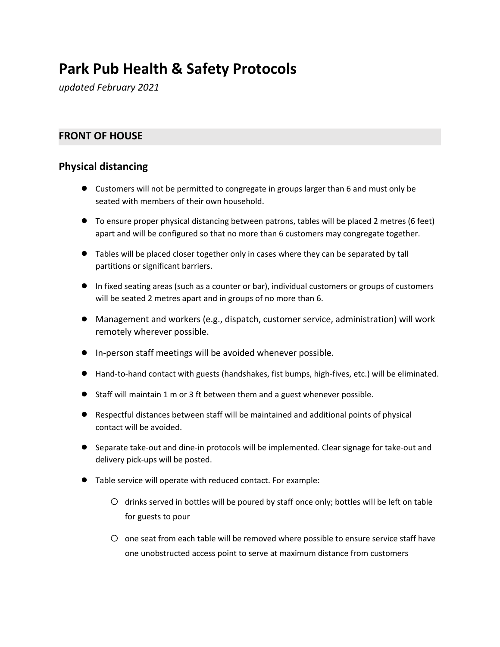# **Park Pub Health & Safety Protocols**

*updated February 2021*

# **FRONT OF HOUSE**

# **Physical distancing**

- Customers will not be permitted to congregate in groups larger than 6 and must only be seated with members of their own household.
- To ensure proper physical distancing between patrons, tables will be placed 2 metres (6 feet) apart and will be configured so that no more than 6 customers may congregate together.
- Tables will be placed closer together only in cases where they can be separated by tall partitions or significant barriers.
- In fixed seating areas (such as a counter or bar), individual customers or groups of customers will be seated 2 metres apart and in groups of no more than 6.
- Management and workers (e.g., dispatch, customer service, administration) will work remotely wherever possible.
- In-person staff meetings will be avoided whenever possible.
- Hand-to-hand contact with guests (handshakes, fist bumps, high-fives, etc.) will be eliminated.
- Staff will maintain 1 m or 3 ft between them and a guest whenever possible.
- Respectful distances between staff will be maintained and additional points of physical contact will be avoided.
- Separate take-out and dine-in protocols will be implemented. Clear signage for take-out and delivery pick-ups will be posted.
- Table service will operate with reduced contact. For example:
	- $\circ$  drinks served in bottles will be poured by staff once only; bottles will be left on table for guests to pour
	- O one seat from each table will be removed where possible to ensure service staff have one unobstructed access point to serve at maximum distance from customers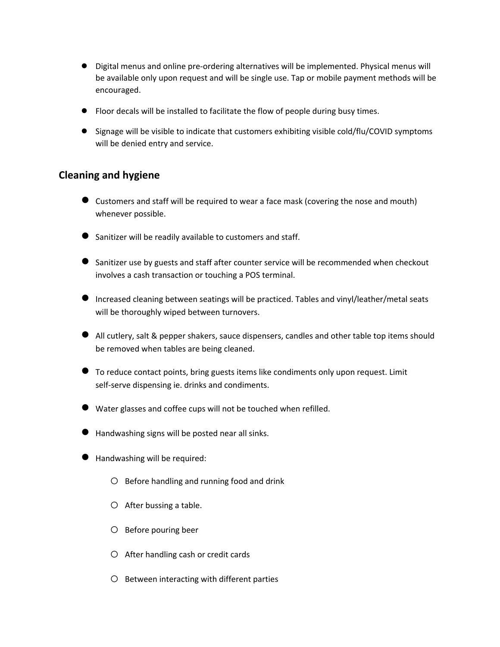- Digital menus and online pre-ordering alternatives will be implemented. Physical menus will be available only upon request and will be single use. Tap or mobile payment methods will be encouraged.
- Floor decals will be installed to facilitate the flow of people during busy times.
- Signage will be visible to indicate that customers exhibiting visible cold/flu/COVID symptoms will be denied entry and service.

## **Cleaning and hygiene**

- Customers and staff will be required to wear <sup>a</sup> face mask (covering the nose and mouth) whenever possible.
- Sanitizer will be readily available to customers and staff.
- Sanitizer use by guests and staff after counter service will be recommended when checkout involves a cash transaction or touching a POS terminal.
- Increased cleaning between seatings will be practiced. Tables and vinyl/leather/metal seats will be thoroughly wiped between turnovers.
- All cutlery, salt & pepper shakers, sauce dispensers, candles and other table top items should be removed when tables are being cleaned.
- To reduce contact points, bring guests items like condiments only upon request. Limit self-serve dispensing ie. drinks and condiments.
- Water glasses and coffee cups will not be touched when refilled.
- Handwashing signs will be posted near all sinks.
- Handwashing will be required:
	- o Before handling and running food and drink
	- o After bussing <sup>a</sup> table.
	- o Before pouring beer
	- o After handling cash or credit cards
	- o Between interacting with different parties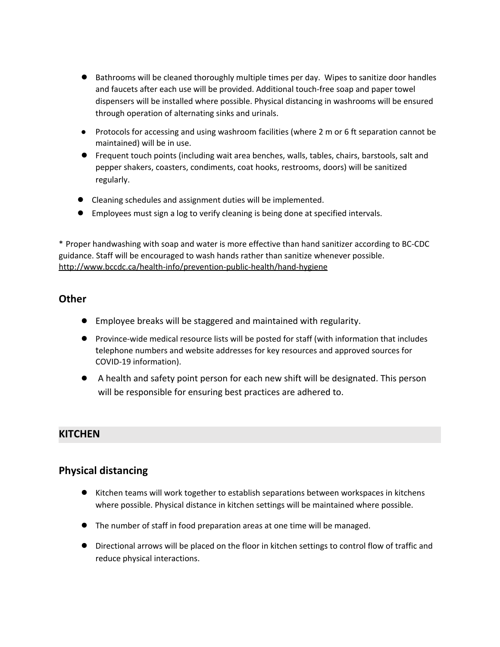- Bathrooms will be cleaned thoroughly multiple times per day. Wipes to sanitize door handles and faucets after each use will be provided. Additional touch-free soap and paper towel dispensers will be installed where possible. Physical distancing in washrooms will be ensured through operation of alternating sinks and urinals.
- Protocols for accessing and using washroom facilities (where 2 m or 6 ft separation cannot be maintained) will be in use.
- Frequent touch points (including wait area benches, walls, tables, chairs, barstools, salt and pepper shakers, coasters, condiments, coat hooks, restrooms, doors) will be sanitized regularly.
- Cleaning schedules and assignment duties will be implemented.
- Employees must sign a log to verify cleaning is being done at specified intervals.

\* Proper handwashing with soap and water is more effective than hand sanitizer according to BC-CDC guidance. Staff will be encouraged to wash hands rather than sanitize whenever possible. <http://www.bccdc.ca/health-info/prevention-public-health/hand-hygiene>

## **Other**

- Employee breaks will be staggered and maintained with regularity.
- Province-wide medical resource lists will be posted for staff (with information that includes telephone numbers and website addresses for key resources and approved sources for COVID-19 information).
- A health and safety point person for each new shift will be designated. This person will be responsible for ensuring best practices are adhered to.

## **KITCHEN**

## **Physical distancing**

- Kitchen teams will work together to establish separations between workspaces in kitchens where possible. Physical distance in kitchen settings will be maintained where possible.
- The number of staff in food preparation areas at one time will be managed.
- Directional arrows will be placed on the floor in kitchen settings to control flow of traffic and reduce physical interactions.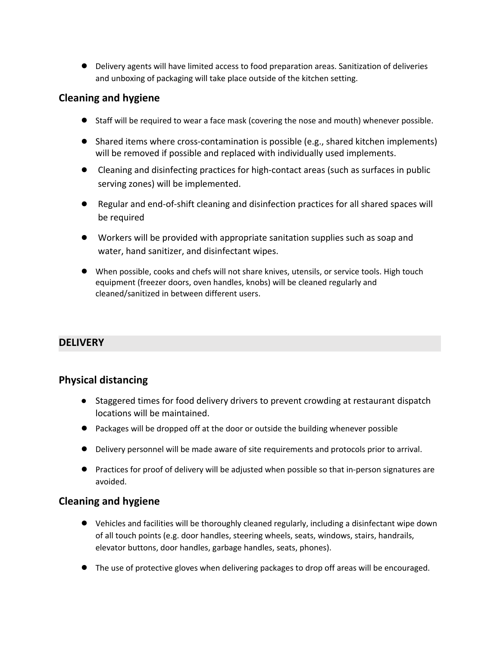Delivery agents will have limited access to food preparation areas. Sanitization of deliveries and unboxing of packaging will take place outside of the kitchen setting.

# **Cleaning and hygiene**

- Staff will be required to wear a face mask (covering the nose and mouth) whenever possible.
- Shared items where cross-contamination is possible (e.g., shared kitchen implements) will be removed if possible and replaced with individually used implements.
- Cleaning and disinfecting practices for high-contact areas (such as surfaces in public serving zones) will be implemented.
- Regular and end-of-shift cleaning and disinfection practices for all shared spaces will be required
- Workers will be provided with appropriate sanitation supplies such as soap and water, hand sanitizer, and disinfectant wipes.
- When possible, cooks and chefs will not share knives, utensils, or service tools. High touch equipment (freezer doors, oven handles, knobs) will be cleaned regularly and cleaned/sanitized in between different users.

# **DELIVERY**

## **Physical distancing**

- Staggered times for food delivery drivers to prevent crowding at restaurant dispatch locations will be maintained.
- Packages will be dropped off at the door or outside the building whenever possible
- Delivery personnel will be made aware of site requirements and protocols prior to arrival.
- Practices for proof of delivery will be adjusted when possible so that in-person signatures are avoided.

# **Cleaning and hygiene**

- Vehicles and facilities will be thoroughly cleaned regularly, including a disinfectant wipe down of all touch points (e.g. door handles, steering wheels, seats, windows, stairs, handrails, elevator buttons, door handles, garbage handles, seats, phones).
- The use of protective gloves when delivering packages to drop off areas will be encouraged.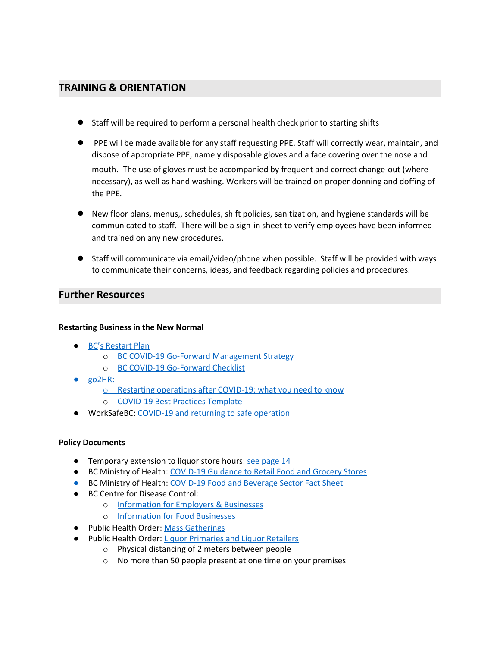# **TRAINING & ORIENTATION**

- Staff will be required to perform a personal health check prior to starting shifts
- PPE will be made available for any staff requesting PPE. Staff will correctly wear, maintain, and dispose of appropriate PPE, namely disposable gloves and a face covering over the nose and mouth. The use of gloves must be accompanied by frequent and correct change-out (where necessary), as well as hand washing. Workers will be trained on proper donning and doffing of the PPE.
- New floor plans, menus,, schedules, shift policies, sanitization, and hygiene standards will be communicated to staff. There will be a sign-in sheet to verify employees have been informed and trained on any new procedures.
- Staff will communicate via email/video/phone when possible. Staff will be provided with ways to communicate their concerns, ideas, and feedback regarding policies and procedures.

## **Further Resources**

### **Restarting Business in the New Normal**

- **[BC'](https://www2.gov.bc.ca/gov/content/safety/emergency-preparedness-response-recovery/covid-19-provincial-support/bc-restart-plan?utm_campaign=20200506_EML_COVID_8_INFO_BSD_BCNDP_EN_ACTIVE&utm_medium=email&source=20200506_EML_COVID_8_INFO_BSD_BCNDP_EN_ACTIVE&utm_content=3%2520-%2520To%2520learn%2520more%2520about%2520our%2520plan%2520to%2520restart%2520&utm_source=bcndp)s [Restart](https://www2.gov.bc.ca/gov/content/safety/emergency-preparedness-response-recovery/covid-19-provincial-support/bc-restart-plan?utm_campaign=20200506_EML_COVID_8_INFO_BSD_BCNDP_EN_ACTIVE&utm_medium=email&source=20200506_EML_COVID_8_INFO_BSD_BCNDP_EN_ACTIVE&utm_content=3%2520-%2520To%2520learn%2520more%2520about%2520our%2520plan%2520to%2520restart%2520&utm_source=bcndp) Plan** 
	- o BC COVID-19 Go-Forward [Management](https://www2.gov.bc.ca/assets/gov/health/about-bc-s-health-care-system/office-of-the-provincial-health-officer/covid-19/bc_covid-19_go-forward_management_strategy_web.pdf?bcgovtm=20200506_EML_COVID_8_INFO_BSD_BCNDP_EN_ACTIVE) Strategy
	- o BC COVID-19 [Go-Forward](https://www2.gov.bc.ca/assets/gov/public-safety-and-emergency-services/emergency-preparedness-response-recovery/gdx/go_forward_strategy_checklist_web.pdf?bcgovtm=20200506_EML_COVID_8_INFO_BSD_BCNDP_EN_ACTIVE) Checklist
- go2HR:
	- o Restarting [operations](https://www.go2hr.ca/covid-19-updates/restarting-operations-what-you-need-to-know) after COVID-19: what you need to know
	- o [COVID-19](https://www.go2hr.ca/wp-content/uploads/2020/05/go2HR-COVID-19-Best-Practices-Template.pdf) Best Practices Template
- WorkSafeBC: COVID-19 and returning to safe [operation](https://www.worksafebc.com/en/about-us/covid-19-updates/covid-19-returning-safe-operation)

### **Policy Documents**

- Temporary extension to liquor store hours: see [page](https://www2.gov.bc.ca/assets/gov/employment-business-and-economic-development/business-management/liquor-regulation-licensing/guides-and-manuals/licenseeretailstore-handbook.pdf) 14
- BC Ministry of Health: [COVID-19](https://www2.gov.bc.ca/assets/gov/health/about-bc-s-health-care-system/office-of-the-provincial-health-officer/covid-19/guidance_to_grocery_stores_april_25_final.pdf?bcgovtm=Road%2520trip) Guidance to Retail Food and Grocery Stores
- **.** BC Ministry of Health: [COVID-19](https://www2.gov.bc.ca/assets/gov/health/about-bc-s-health-care-system/office-of-the-provincial-health-officer/covid-19/covid-19-pho-guidance-food-beverage-sector.pdf?bcgovtm=Road%2520trip) Food and Beverage Sector Fact Sheet
- BC Centre for Disease Control:
	- o [Information](http://www.bccdc.ca/health-info/diseases-conditions/covid-19/employers-businesses) for Employers & Businesses
	- o [Information](http://www.bccdc.ca/health-info/diseases-conditions/covid-19/employers-businesses/food-businesses) for Food Businesses
- Public Health Order: Mass [Gatherings](https://www2.gov.bc.ca/assets/gov/health/about-bc-s-health-care-system/office-of-the-provincial-health-officer/reports-publications/covid-19-pho-class-order-mass-gatherings.pdf?bcgovtm=Road%2520trip)
- Public Health Order: Liquor [Primaries](https://www2.gov.bc.ca/assets/gov/health/about-bc-s-health-care-system/office-of-the-provincial-health-officer/reports-publications/covid-19-pho-order-nightclubs-food-drink-services.pdf?bcgovtm=Road%2520trip) and Liquor Retailers
	- o Physical distancing of 2 meters between people
	- o No more than 50 people present at one time on your premises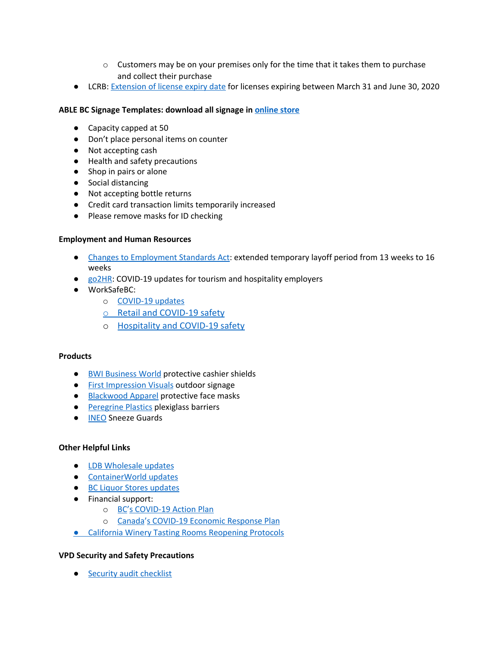- $\circ$  Customers may be on your premises only for the time that it takes them to purchase and collect their purchase
- LCRB: [Extension](https://files.constantcontact.com/9329e289001/c2bb0305-3652-46a2-ad25-ada6ab575a70.pdf) of license expiry date for licenses expiring between March 31 and June 30, 2020

## **ABLE BC Signage Templates: download all signage in [online](https://ablebc.ca/product-category/covid-19/) store**

- Capacity capped at 50
- Don't place personal items on counter
- Not accepting cash
- Health and safety precautions
- Shop in pairs or alone
- Social distancing
- Not accepting bottle returns
- Credit card transaction limits temporarily increased
- Please remove masks for ID checking

#### **Employment and Human Resources**

- Changes to [Employment](https://news.gov.bc.ca/releases/2020LBR0013-000810?utm_source=COVID-19+Update+on+May+4&utm_campaign=Road+trip&utm_medium=email) Standards Act: extended temporary layoff period from 13 weeks to 16 weeks
- [go2HR](https://www.go2hr.ca/category/covid-19-updates): COVID-19 updates for tourism and hospitality employers
- WorkSafeBC:
	- o [COVID-19](https://www.worksafebc.com/en/about-us/covid-19-updates/health-and-safety/what-employers-should-do) updates
	- o [Retail and COVID-19 safety](https://www.worksafebc.com/en/about-us/covid-19-updates/covid-19-industry-information/retail)
	- o [Hospitality and COVID-19 safety](https://www.worksafebc.com/en/about-us/covid-19-updates/covid-19-industry-information/hospitality)

### **Products**

- BWI [Business](http://www.bwibusinessworld.com/?utm_source=COVID-19+Update+on+May+1&utm_campaign=Road+trip&utm_medium=email) World protective cashier shields
- First [Impression](http://www.fivisuals.com/) Visuals outdoor signage
- [Blackwood](http://blackwoodapparel.com/) Apparel protective face masks
- [Peregrine](https://www.plexishield.co/) Plastics plexiglass barriers
- [INEO](https://ineosolutionsinc.com/) Sneeze Guards

### **Other Helpful Links**

- LDB [Wholesale](https://wholesale.bcldb.com/) updates
- [ContainerWorld](http://containerworld.com/CWFS/WEB_PUBLIC/PUB_HOME) updates
- BC Liquor Stores [updates](http://www.bcliquorstores.com/)
- Financial support:
	- o [BC'](https://www2.gov.bc.ca/gov/content/employment-business/covid-19-financial-supports)s [COVID-19](https://www2.gov.bc.ca/gov/content/employment-business/covid-19-financial-supports) Action Plan
	- o [Canada's](https://www.canada.ca/en/department-finance/economic-response-plan.html) [COVID-19](https://www.canada.ca/en/department-finance/economic-response-plan.html) Economic Response Plan
- California Winery Tasting Rooms [Reopening](http://28rbcq2h1bmh1vlw303uo1et-wpengine.netdna-ssl.com/wp-content/uploads/2020/05/WineInstitute-Covid19-ReopeningProtocols-1.pdf) Protocols

### **VPD Security and Safety Precautions**

● Security audit [checklist](https://www.dtvan.ca/wp-content/uploads/2020/04/VPD-DVBIA-AUDIT-CHECKLIST.pdf)